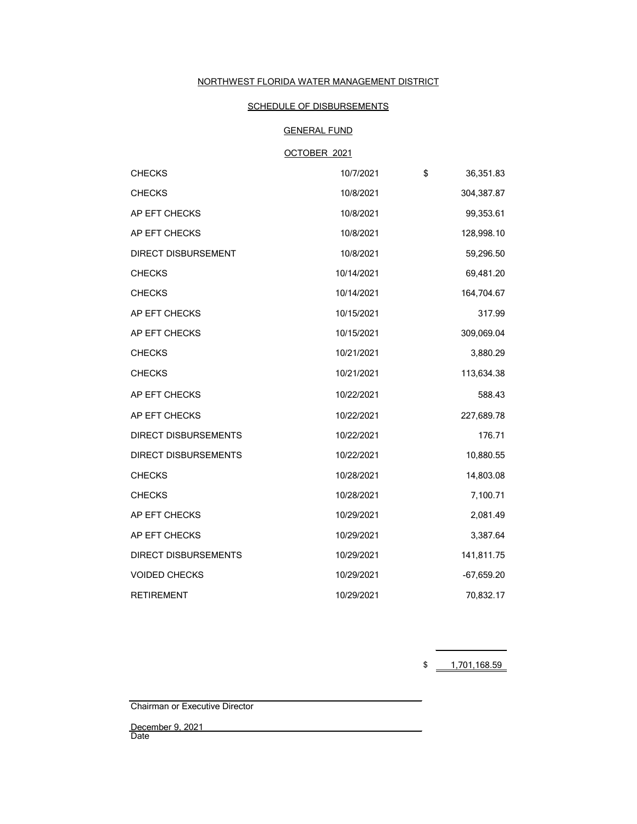# NORTHWEST FLORIDA WATER MANAGEMENT DISTRICT

# SCHEDULE OF DISBURSEMENTS

# GENERAL FUND

# OCTOBER 2021

| <b>CHECKS</b>               | 10/7/2021  | \$<br>36,351.83 |
|-----------------------------|------------|-----------------|
| <b>CHECKS</b>               | 10/8/2021  | 304,387.87      |
| AP EFT CHECKS               | 10/8/2021  | 99,353.61       |
| AP EFT CHECKS               | 10/8/2021  | 128,998.10      |
| <b>DIRECT DISBURSEMENT</b>  | 10/8/2021  | 59,296.50       |
| <b>CHECKS</b>               | 10/14/2021 | 69,481.20       |
| <b>CHECKS</b>               | 10/14/2021 | 164,704.67      |
| AP EFT CHECKS               | 10/15/2021 | 317.99          |
| AP EFT CHECKS               | 10/15/2021 | 309,069.04      |
| <b>CHECKS</b>               | 10/21/2021 | 3,880.29        |
| <b>CHECKS</b>               | 10/21/2021 | 113,634.38      |
| AP EFT CHECKS               | 10/22/2021 | 588.43          |
| AP EFT CHECKS               | 10/22/2021 | 227,689.78      |
| <b>DIRECT DISBURSEMENTS</b> | 10/22/2021 | 176.71          |
| <b>DIRECT DISBURSEMENTS</b> | 10/22/2021 | 10,880.55       |
| <b>CHECKS</b>               | 10/28/2021 | 14,803.08       |
| <b>CHECKS</b>               | 10/28/2021 | 7,100.71        |
| AP EFT CHECKS               | 10/29/2021 | 2,081.49        |
| AP EFT CHECKS               | 10/29/2021 | 3,387.64        |
| <b>DIRECT DISBURSEMENTS</b> | 10/29/2021 | 141,811.75      |
| <b>VOIDED CHECKS</b>        | 10/29/2021 | $-67,659.20$    |
| <b>RETIREMENT</b>           | 10/29/2021 | 70,832.17       |

 $$ 1,701,168.59$ 

Chairman or Executive Director

December 9, 2021 Date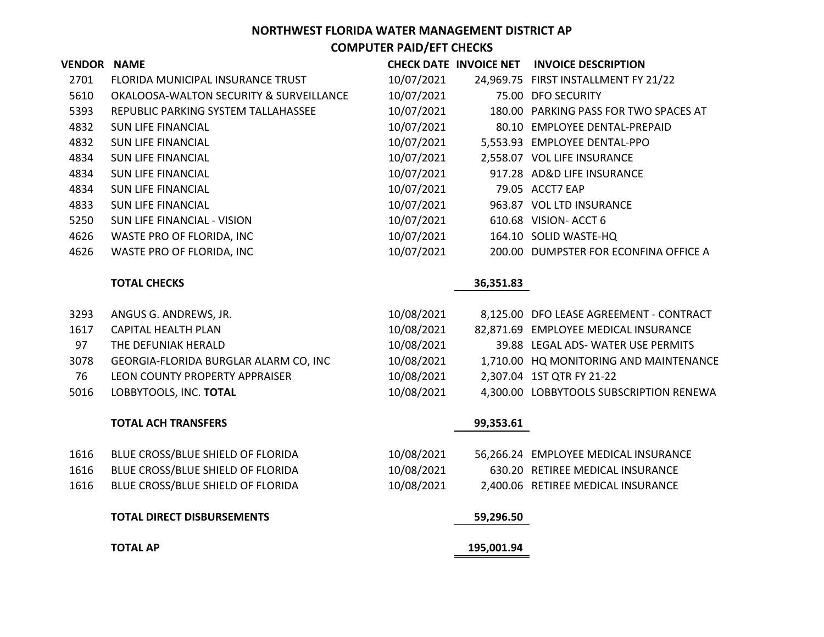| <b>VENDOR NAME</b> |                                         |            |            | CHECK DATE INVOICE NET INVOICE DESCRIPTION |
|--------------------|-----------------------------------------|------------|------------|--------------------------------------------|
| 2701               | FLORIDA MUNICIPAL INSURANCE TRUST       | 10/07/2021 |            | 24,969.75 FIRST INSTALLMENT FY 21/22       |
| 5610               | OKALOOSA-WALTON SECURITY & SURVEILLANCE | 10/07/2021 |            | 75.00 DFO SECURITY                         |
| 5393               | REPUBLIC PARKING SYSTEM TALLAHASSEE     | 10/07/2021 |            | 180.00 PARKING PASS FOR TWO SPACES AT      |
| 4832               | <b>SUN LIFE FINANCIAL</b>               | 10/07/2021 |            | 80.10 EMPLOYEE DENTAL-PREPAID              |
| 4832               | <b>SUN LIFE FINANCIAL</b>               | 10/07/2021 |            | 5,553.93 EMPLOYEE DENTAL-PPO               |
| 4834               | <b>SUN LIFE FINANCIAL</b>               | 10/07/2021 |            | 2,558.07 VOL LIFE INSURANCE                |
| 4834               | <b>SUN LIFE FINANCIAL</b>               | 10/07/2021 |            | 917.28 AD&D LIFE INSURANCE                 |
| 4834               | <b>SUN LIFE FINANCIAL</b>               | 10/07/2021 |            | 79.05 ACCT7 EAP                            |
| 4833               | <b>SUN LIFE FINANCIAL</b>               | 10/07/2021 |            | 963.87 VOL LTD INSURANCE                   |
| 5250               | SUN LIFE FINANCIAL - VISION             | 10/07/2021 |            | 610.68 VISION- ACCT 6                      |
| 4626               | WASTE PRO OF FLORIDA, INC               | 10/07/2021 |            | 164.10 SOLID WASTE-HQ                      |
| 4626               | WASTE PRO OF FLORIDA, INC               | 10/07/2021 |            | 200.00 DUMPSTER FOR ECONFINA OFFICE A      |
|                    | <b>TOTAL CHECKS</b>                     |            | 36,351.83  |                                            |
| 3293               | ANGUS G. ANDREWS, JR.                   | 10/08/2021 |            | 8,125.00 DFO LEASE AGREEMENT - CONTRACT    |
| 1617               | <b>CAPITAL HEALTH PLAN</b>              | 10/08/2021 |            | 82,871.69 EMPLOYEE MEDICAL INSURANCE       |
| 97                 | THE DEFUNIAK HERALD                     | 10/08/2021 |            | 39.88 LEGAL ADS-WATER USE PERMITS          |
| 3078               | GEORGIA-FLORIDA BURGLAR ALARM CO, INC   | 10/08/2021 |            | 1,710.00 HQ MONITORING AND MAINTENANCE     |
| 76                 | LEON COUNTY PROPERTY APPRAISER          | 10/08/2021 |            | 2,307.04 1ST QTR FY 21-22                  |
| 5016               | LOBBYTOOLS, INC. TOTAL                  | 10/08/2021 |            | 4,300.00 LOBBYTOOLS SUBSCRIPTION RENEWA    |
|                    | <b>TOTAL ACH TRANSFERS</b>              |            | 99,353.61  |                                            |
| 1616               | BLUE CROSS/BLUE SHIELD OF FLORIDA       | 10/08/2021 |            | 56,266.24 EMPLOYEE MEDICAL INSURANCE       |
| 1616               | BLUE CROSS/BLUE SHIELD OF FLORIDA       | 10/08/2021 |            | 630.20 RETIREE MEDICAL INSURANCE           |
| 1616               | BLUE CROSS/BLUE SHIELD OF FLORIDA       | 10/08/2021 |            | 2,400.06 RETIREE MEDICAL INSURANCE         |
|                    | <b>TOTAL DIRECT DISBURSEMENTS</b>       |            | 59,296.50  |                                            |
|                    | <b>TOTAL AP</b>                         |            | 195,001.94 |                                            |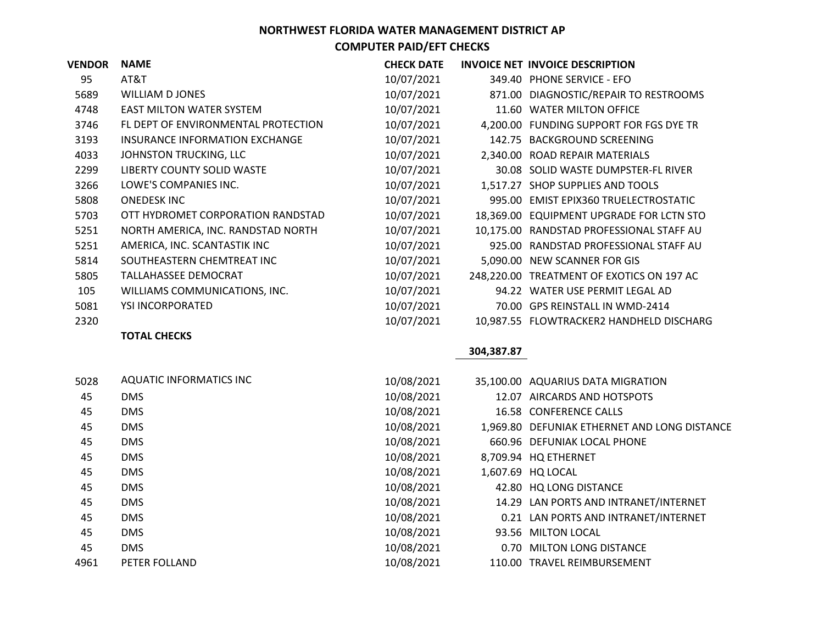| <b>VENDOR</b> | <b>NAME</b>                         | <b>CHECK DATE</b> |          | INVOICE NET INVOICE DESCRIPTION           |
|---------------|-------------------------------------|-------------------|----------|-------------------------------------------|
| 95            | AT&T                                | 10/07/2021        |          | 349.40 PHONE SERVICE - EFO                |
| 5689          | WILLIAM DJONES                      | 10/07/2021        |          | 871.00 DIAGNOSTIC/REPAIR TO RESTROOMS     |
| 4748          | <b>EAST MILTON WATER SYSTEM</b>     | 10/07/2021        | 11.60    | <b>WATER MILTON OFFICE</b>                |
| 3746          | FL DEPT OF ENVIRONMENTAL PROTECTION | 10/07/2021        |          | 4,200.00 FUNDING SUPPORT FOR FGS DYE TR   |
| 3193          | INSURANCE INFORMATION EXCHANGE      | 10/07/2021        |          | 142.75 BACKGROUND SCREENING               |
| 4033          | JOHNSTON TRUCKING, LLC              | 10/07/2021        |          | 2,340.00 ROAD REPAIR MATERIALS            |
| 2299          | LIBERTY COUNTY SOLID WASTE          | 10/07/2021        |          | 30.08 SOLID WASTE DUMPSTER-FL RIVER       |
| 3266          | LOWE'S COMPANIES INC.               | 10/07/2021        |          | 1,517.27 SHOP SUPPLIES AND TOOLS          |
| 5808          | <b>ONEDESK INC</b>                  | 10/07/2021        |          | 995.00 EMIST EPIX360 TRUELECTROSTATIC     |
| 5703          | OTT HYDROMET CORPORATION RANDSTAD   | 10/07/2021        |          | 18,369.00 EQUIPMENT UPGRADE FOR LCTN STO  |
| 5251          | NORTH AMERICA, INC. RANDSTAD NORTH  | 10/07/2021        |          | 10,175.00 RANDSTAD PROFESSIONAL STAFF AU  |
| 5251          | AMERICA, INC. SCANTASTIK INC        | 10/07/2021        | 925.00   | RANDSTAD PROFESSIONAL STAFF AU            |
| 5814          | SOUTHEASTERN CHEMTREAT INC          | 10/07/2021        | 5.090.00 | NEW SCANNER FOR GIS                       |
| 5805          | TALLAHASSEE DEMOCRAT                | 10/07/2021        |          | 248,220.00 TREATMENT OF EXOTICS ON 197 AC |
| 105           | WILLIAMS COMMUNICATIONS, INC.       | 10/07/2021        |          | 94.22 WATER USE PERMIT LEGAL AD           |
| 5081          | YSI INCORPORATED                    | 10/07/2021        | 70.00    | <b>GPS REINSTALL IN WMD-2414</b>          |
| 2320          |                                     | 10/07/2021        |          | 10,987.55 FLOWTRACKER2 HANDHELD DISCHARG  |

## **TOTAL CHECKS**

## **304,387.87**

| 5028 | AQUATIC INFORMATICS INC | 10/08/2021 | 35,100.00 AQUARIUS DATA MIGRATION            |
|------|-------------------------|------------|----------------------------------------------|
| 45   | <b>DMS</b>              | 10/08/2021 | 12.07 AIRCARDS AND HOTSPOTS                  |
| 45   | <b>DMS</b>              | 10/08/2021 | 16.58 CONFERENCE CALLS                       |
| 45   | <b>DMS</b>              | 10/08/2021 | 1,969.80 DEFUNIAK ETHERNET AND LONG DISTANCE |
| 45   | <b>DMS</b>              | 10/08/2021 | 660.96 DEFUNIAK LOCAL PHONE                  |
| 45   | <b>DMS</b>              | 10/08/2021 | 8,709.94 HQ ETHERNET                         |
| 45   | <b>DMS</b>              | 10/08/2021 | 1,607.69 HQ LOCAL                            |
| 45   | <b>DMS</b>              | 10/08/2021 | 42.80 HQ LONG DISTANCE                       |
| 45   | <b>DMS</b>              | 10/08/2021 | 14.29 LAN PORTS AND INTRANET/INTERNET        |
| 45   | <b>DMS</b>              | 10/08/2021 | 0.21 LAN PORTS AND INTRANET/INTERNET         |
| 45   | <b>DMS</b>              | 10/08/2021 | 93.56 MILTON LOCAL                           |
| 45   | <b>DMS</b>              | 10/08/2021 | 0.70 MILTON LONG DISTANCE                    |
| 4961 | PETER FOLLAND           | 10/08/2021 | 110.00 TRAVEL REIMBURSEMENT                  |
|      |                         |            |                                              |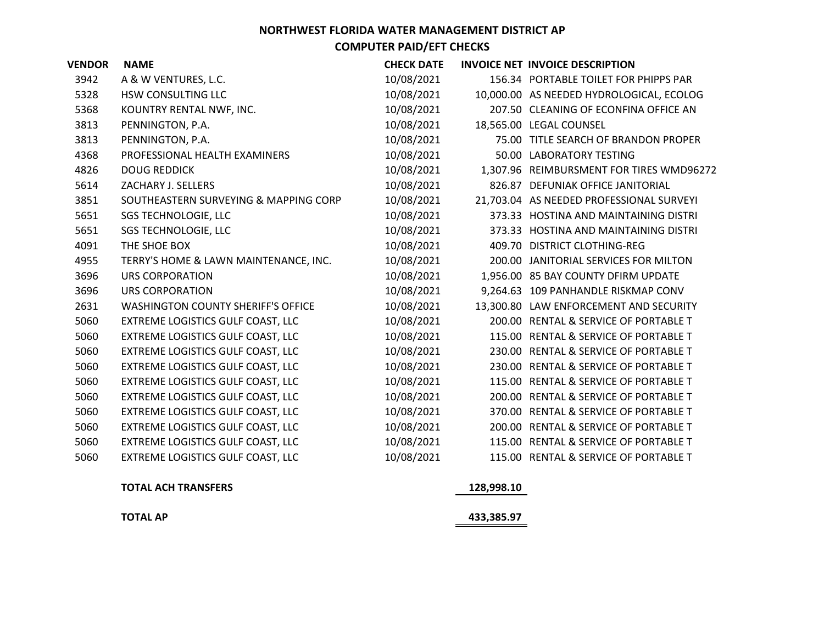| <b>VENDOR</b> | <b>NAME</b>                               | <b>CHECK DATE</b> | INVOICE NET INVOICE DESCRIPTION          |
|---------------|-------------------------------------------|-------------------|------------------------------------------|
| 3942          | A & W VENTURES, L.C.                      | 10/08/2021        | 156.34 PORTABLE TOILET FOR PHIPPS PAR    |
| 5328          | <b>HSW CONSULTING LLC</b>                 | 10/08/2021        | 10,000.00 AS NEEDED HYDROLOGICAL, ECOLOG |
| 5368          | KOUNTRY RENTAL NWF, INC.                  | 10/08/2021        | 207.50 CLEANING OF ECONFINA OFFICE AN    |
| 3813          | PENNINGTON, P.A.                          | 10/08/2021        | 18,565.00 LEGAL COUNSEL                  |
| 3813          | PENNINGTON, P.A.                          | 10/08/2021        | 75.00 TITLE SEARCH OF BRANDON PROPER     |
| 4368          | PROFESSIONAL HEALTH EXAMINERS             | 10/08/2021        | 50.00 LABORATORY TESTING                 |
| 4826          | <b>DOUG REDDICK</b>                       | 10/08/2021        | 1,307.96 REIMBURSMENT FOR TIRES WMD96272 |
| 5614          | ZACHARY J. SELLERS                        | 10/08/2021        | 826.87 DEFUNIAK OFFICE JANITORIAL        |
| 3851          | SOUTHEASTERN SURVEYING & MAPPING CORP     | 10/08/2021        | 21,703.04 AS NEEDED PROFESSIONAL SURVEYI |
| 5651          | <b>SGS TECHNOLOGIE, LLC</b>               | 10/08/2021        | 373.33 HOSTINA AND MAINTAINING DISTRI    |
| 5651          | <b>SGS TECHNOLOGIE, LLC</b>               | 10/08/2021        | 373.33 HOSTINA AND MAINTAINING DISTRI    |
| 4091          | THE SHOE BOX                              | 10/08/2021        | 409.70 DISTRICT CLOTHING-REG             |
| 4955          | TERRY'S HOME & LAWN MAINTENANCE, INC.     | 10/08/2021        | 200.00 JANITORIAL SERVICES FOR MILTON    |
| 3696          | URS CORPORATION                           | 10/08/2021        | 1,956.00 85 BAY COUNTY DFIRM UPDATE      |
| 3696          | URS CORPORATION                           | 10/08/2021        | 9,264.63 109 PANHANDLE RISKMAP CONV      |
| 2631          | <b>WASHINGTON COUNTY SHERIFF'S OFFICE</b> | 10/08/2021        | 13,300.80 LAW ENFORCEMENT AND SECURITY   |
| 5060          | EXTREME LOGISTICS GULF COAST, LLC         | 10/08/2021        | 200.00 RENTAL & SERVICE OF PORTABLE T    |
| 5060          | EXTREME LOGISTICS GULF COAST, LLC         | 10/08/2021        | 115.00 RENTAL & SERVICE OF PORTABLE T    |
| 5060          | EXTREME LOGISTICS GULF COAST, LLC         | 10/08/2021        | 230.00 RENTAL & SERVICE OF PORTABLE T    |
| 5060          | EXTREME LOGISTICS GULF COAST, LLC         | 10/08/2021        | 230.00 RENTAL & SERVICE OF PORTABLE T    |
| 5060          | EXTREME LOGISTICS GULF COAST, LLC         | 10/08/2021        | 115.00 RENTAL & SERVICE OF PORTABLE T    |
| 5060          | EXTREME LOGISTICS GULF COAST, LLC         | 10/08/2021        | 200.00 RENTAL & SERVICE OF PORTABLE T    |
| 5060          | EXTREME LOGISTICS GULF COAST, LLC         | 10/08/2021        | 370.00 RENTAL & SERVICE OF PORTABLE T    |
| 5060          | EXTREME LOGISTICS GULF COAST, LLC         | 10/08/2021        | 200.00 RENTAL & SERVICE OF PORTABLE T    |
| 5060          | EXTREME LOGISTICS GULF COAST, LLC         | 10/08/2021        | 115.00 RENTAL & SERVICE OF PORTABLE T    |
| 5060          | EXTREME LOGISTICS GULF COAST, LLC         | 10/08/2021        | 115.00 RENTAL & SERVICE OF PORTABLE T    |
|               |                                           |                   |                                          |

**TOTAL ACH TRANSFERS 128,998.10**

**TOTAL AP**

**433,385.97**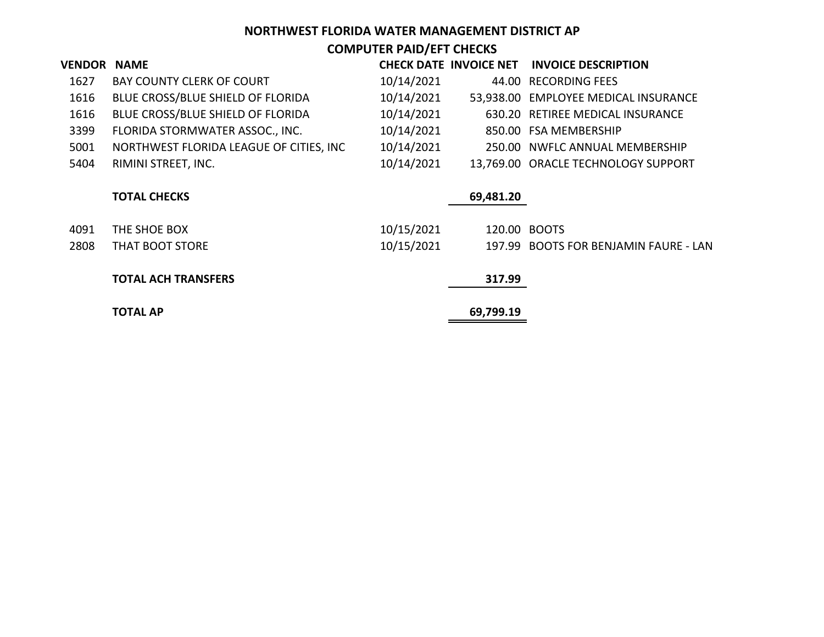# **NORTHWEST FLORIDA WATER MANAGEMENT DISTRICT AP**

**COMPUTER PAID/EFT CHECKS**

| <b>VENDOR</b> | <b>NAME</b>                             |            | <b>CHECK DATE INVOICE NET</b> | <b>INVOICE DESCRIPTION</b>            |
|---------------|-----------------------------------------|------------|-------------------------------|---------------------------------------|
| 1627          | <b>BAY COUNTY CLERK OF COURT</b>        | 10/14/2021 |                               | 44.00 RECORDING FEES                  |
| 1616          | BLUE CROSS/BLUE SHIELD OF FLORIDA       | 10/14/2021 |                               | 53,938.00 EMPLOYEE MEDICAL INSURANCE  |
| 1616          | BLUE CROSS/BLUE SHIELD OF FLORIDA       | 10/14/2021 |                               | 630.20 RETIREE MEDICAL INSURANCE      |
| 3399          | FLORIDA STORMWATER ASSOC., INC.         | 10/14/2021 |                               | 850.00 FSA MEMBERSHIP                 |
| 5001          | NORTHWEST FLORIDA LEAGUE OF CITIES, INC | 10/14/2021 |                               | 250.00 NWFLC ANNUAL MEMBERSHIP        |
| 5404          | RIMINI STREET, INC.                     | 10/14/2021 |                               | 13,769.00 ORACLE TECHNOLOGY SUPPORT   |
|               | <b>TOTAL CHECKS</b>                     |            | 69,481.20                     |                                       |
| 4091          | THE SHOE BOX                            | 10/15/2021 | 120.00 BOOTS                  |                                       |
| 2808          | THAT BOOT STORE                         | 10/15/2021 |                               | 197.99 BOOTS FOR BENJAMIN FAURE - LAN |
|               | <b>TOTAL ACH TRANSFERS</b>              |            | 317.99                        |                                       |
|               | <b>TOTAL AP</b>                         |            | 69,799.19                     |                                       |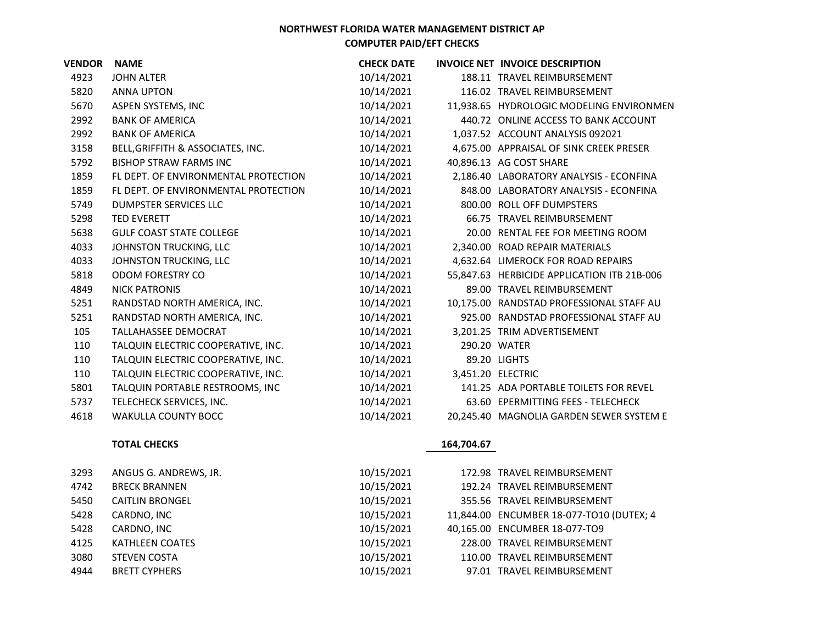| <b>VENDOR</b> | <b>NAME</b>                          | <b>CHECK DATE</b> |              | <b>INVOICE NET INVOICE DESCRIPTION</b>      |
|---------------|--------------------------------------|-------------------|--------------|---------------------------------------------|
| 4923          | <b>JOHN ALTER</b>                    | 10/14/2021        |              | 188.11 TRAVEL REIMBURSEMENT                 |
| 5820          | ANNA UPTON                           | 10/14/2021        |              | 116.02 TRAVEL REIMBURSEMENT                 |
| 5670          | ASPEN SYSTEMS, INC                   | 10/14/2021        |              | 11,938.65 HYDROLOGIC MODELING ENVIRONMEN    |
| 2992          | <b>BANK OF AMERICA</b>               | 10/14/2021        |              | 440.72 ONLINE ACCESS TO BANK ACCOUNT        |
| 2992          | <b>BANK OF AMERICA</b>               | 10/14/2021        |              | 1,037.52 ACCOUNT ANALYSIS 092021            |
| 3158          | BELL, GRIFFITH & ASSOCIATES, INC.    | 10/14/2021        |              | 4,675.00 APPRAISAL OF SINK CREEK PRESER     |
| 5792          | <b>BISHOP STRAW FARMS INC</b>        | 10/14/2021        |              | 40,896.13 AG COST SHARE                     |
| 1859          | FL DEPT. OF ENVIRONMENTAL PROTECTION | 10/14/2021        |              | 2,186.40 LABORATORY ANALYSIS - ECONFINA     |
| 1859          | FL DEPT. OF ENVIRONMENTAL PROTECTION | 10/14/2021        |              | 848.00 LABORATORY ANALYSIS - ECONFINA       |
| 5749          | DUMPSTER SERVICES LLC                | 10/14/2021        |              | 800.00 ROLL OFF DUMPSTERS                   |
| 5298          | <b>TED EVERETT</b>                   | 10/14/2021        |              | 66.75 TRAVEL REIMBURSEMENT                  |
| 5638          | <b>GULF COAST STATE COLLEGE</b>      | 10/14/2021        |              | 20.00 RENTAL FEE FOR MEETING ROOM           |
| 4033          | JOHNSTON TRUCKING, LLC               | 10/14/2021        |              | 2,340.00 ROAD REPAIR MATERIALS              |
| 4033          | JOHNSTON TRUCKING, LLC               | 10/14/2021        |              | 4,632.64 LIMEROCK FOR ROAD REPAIRS          |
| 5818          | ODOM FORESTRY CO                     | 10/14/2021        |              | 55,847.63 HERBICIDE APPLICATION ITB 21B-006 |
| 4849          | <b>NICK PATRONIS</b>                 | 10/14/2021        |              | 89.00 TRAVEL REIMBURSEMENT                  |
| 5251          | RANDSTAD NORTH AMERICA, INC.         | 10/14/2021        |              | 10.175.00 RANDSTAD PROFESSIONAL STAFF AU    |
| 5251          | RANDSTAD NORTH AMERICA, INC.         | 10/14/2021        |              | 925.00 RANDSTAD PROFESSIONAL STAFF AU       |
| 105           | <b>TALLAHASSEE DEMOCRAT</b>          | 10/14/2021        |              | 3,201.25 TRIM ADVERTISEMENT                 |
| 110           | TALQUIN ELECTRIC COOPERATIVE, INC.   | 10/14/2021        | 290.20 WATER |                                             |
| 110           | TALQUIN ELECTRIC COOPERATIVE, INC.   | 10/14/2021        |              | 89.20 LIGHTS                                |
| 110           | TALQUIN ELECTRIC COOPERATIVE, INC.   | 10/14/2021        |              | 3,451.20 ELECTRIC                           |
| 5801          | TALQUIN PORTABLE RESTROOMS, INC      | 10/14/2021        |              | 141.25 ADA PORTABLE TOILETS FOR REVEL       |
| 5737          | TELECHECK SERVICES, INC.             | 10/14/2021        |              | 63.60 EPERMITTING FEES - TELECHECK          |
| 4618          | <b>WAKULLA COUNTY BOCC</b>           | 10/14/2021        |              | 20,245.40 MAGNOLIA GARDEN SEWER SYSTEM E    |

#### **TOTAL CHECKS**

| 3293 | ANGUS G. ANDREWS, JR.  | 10/15/2021 | 172.98 TRAVEL REIMBURSEMENT              |
|------|------------------------|------------|------------------------------------------|
| 4742 | <b>BRECK BRANNEN</b>   | 10/15/2021 | 192.24 TRAVEL REIMBURSEMENT              |
| 5450 | <b>CAITLIN BRONGEL</b> | 10/15/2021 | 355.56 TRAVEL REIMBURSEMENT              |
| 5428 | CARDNO, INC            | 10/15/2021 | 11,844.00 ENCUMBER 18-077-TO10 (DUTEX; 4 |
| 5428 | CARDNO, INC            | 10/15/2021 | 40,165.00 ENCUMBER 18-077-TO9            |
| 4125 | <b>KATHLEEN COATES</b> | 10/15/2021 | 228.00 TRAVEL REIMBURSEMENT              |
| 3080 | <b>STEVEN COSTA</b>    | 10/15/2021 | 110.00 TRAVEL REIMBURSEMENT              |
| 4944 | <b>BRETT CYPHERS</b>   | 10/15/2021 | 97.01 TRAVEL REIMBURSEMENT               |

## **164,704.67**

| 10/15/2021 | 172.98 TRAVEL REIMBURSEMENT              |
|------------|------------------------------------------|
| 10/15/2021 | 192.24 TRAVEL REIMBURSEMENT              |
| 10/15/2021 | 355.56 TRAVEL REIMBURSEMENT              |
| 10/15/2021 | 11,844.00 ENCUMBER 18-077-TO10 (DUTEX; 4 |
| 10/15/2021 | 40,165.00 ENCUMBER 18-077-TO9            |
| 10/15/2021 | 228.00 TRAVEL REIMBURSEMENT              |
| 10/15/2021 | 110.00 TRAVEL REIMBURSEMENT              |
| 10/15/2021 | 97.01 TRAVEL REIMBURSEMENT               |
|            |                                          |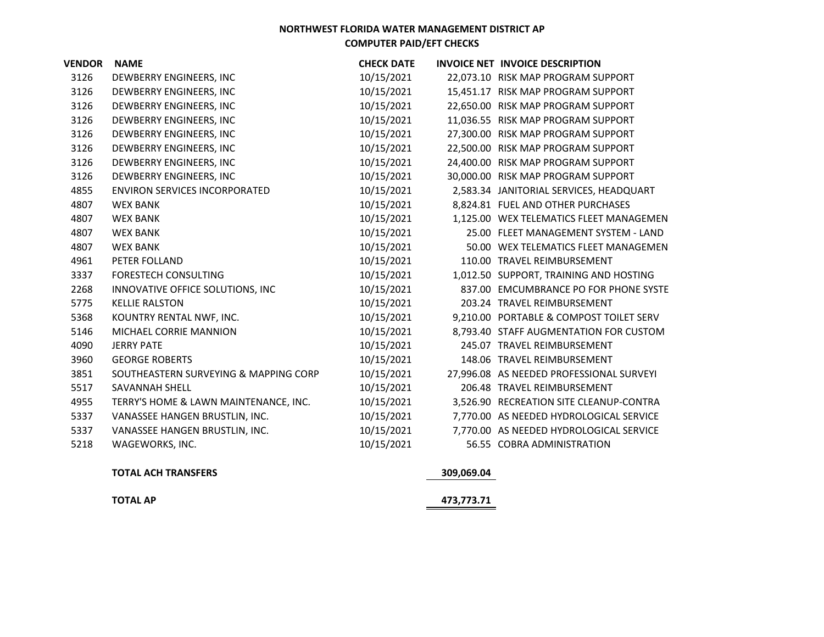| <b>VENDOR</b> | <b>NAME</b>                           | <b>CHECK DATE</b> | INVOICE NET INVOICE DESCRIPTION          |
|---------------|---------------------------------------|-------------------|------------------------------------------|
| 3126          | DEWBERRY ENGINEERS, INC               | 10/15/2021        | 22,073.10 RISK MAP PROGRAM SUPPORT       |
| 3126          | DEWBERRY ENGINEERS, INC               | 10/15/2021        | 15,451.17 RISK MAP PROGRAM SUPPORT       |
| 3126          | DEWBERRY ENGINEERS, INC               | 10/15/2021        | 22,650.00 RISK MAP PROGRAM SUPPORT       |
| 3126          | DEWBERRY ENGINEERS, INC               | 10/15/2021        | 11,036.55 RISK MAP PROGRAM SUPPORT       |
| 3126          | DEWBERRY ENGINEERS, INC               | 10/15/2021        | 27,300.00 RISK MAP PROGRAM SUPPORT       |
| 3126          | DEWBERRY ENGINEERS, INC               | 10/15/2021        | 22,500.00 RISK MAP PROGRAM SUPPORT       |
| 3126          | DEWBERRY ENGINEERS, INC               | 10/15/2021        | 24,400.00 RISK MAP PROGRAM SUPPORT       |
| 3126          | DEWBERRY ENGINEERS, INC               | 10/15/2021        | 30,000.00 RISK MAP PROGRAM SUPPORT       |
| 4855          | <b>ENVIRON SERVICES INCORPORATED</b>  | 10/15/2021        | 2,583.34 JANITORIAL SERVICES, HEADQUART  |
| 4807          | <b>WEX BANK</b>                       | 10/15/2021        | 8,824.81 FUEL AND OTHER PURCHASES        |
| 4807          | <b>WEX BANK</b>                       | 10/15/2021        | 1,125.00 WEX TELEMATICS FLEET MANAGEMEN  |
| 4807          | <b>WEX BANK</b>                       | 10/15/2021        | 25.00 FLEET MANAGEMENT SYSTEM - LAND     |
| 4807          | <b>WEX BANK</b>                       | 10/15/2021        | 50.00 WEX TELEMATICS FLEET MANAGEMEN     |
| 4961          | PETER FOLLAND                         | 10/15/2021        | 110.00 TRAVEL REIMBURSEMENT              |
| 3337          | <b>FORESTECH CONSULTING</b>           | 10/15/2021        | 1,012.50 SUPPORT, TRAINING AND HOSTING   |
| 2268          | INNOVATIVE OFFICE SOLUTIONS, INC      | 10/15/2021        | 837.00 EMCUMBRANCE PO FOR PHONE SYSTE    |
| 5775          | <b>KELLIE RALSTON</b>                 | 10/15/2021        | 203.24 TRAVEL REIMBURSEMENT              |
| 5368          | KOUNTRY RENTAL NWF, INC.              | 10/15/2021        | 9,210.00 PORTABLE & COMPOST TOILET SERV  |
| 5146          | MICHAEL CORRIE MANNION                | 10/15/2021        | 8,793.40 STAFF AUGMENTATION FOR CUSTOM   |
| 4090          | <b>JERRY PATE</b>                     | 10/15/2021        | 245.07 TRAVEL REIMBURSEMENT              |
| 3960          | <b>GEORGE ROBERTS</b>                 | 10/15/2021        | 148.06 TRAVEL REIMBURSEMENT              |
| 3851          | SOUTHEASTERN SURVEYING & MAPPING CORP | 10/15/2021        | 27,996.08 AS NEEDED PROFESSIONAL SURVEYI |
| 5517          | <b>SAVANNAH SHELL</b>                 | 10/15/2021        | 206.48 TRAVEL REIMBURSEMENT              |
| 4955          | TERRY'S HOME & LAWN MAINTENANCE, INC. | 10/15/2021        | 3,526.90 RECREATION SITE CLEANUP-CONTRA  |
| 5337          | VANASSEE HANGEN BRUSTLIN, INC.        | 10/15/2021        | 7,770.00 AS NEEDED HYDROLOGICAL SERVICE  |
| 5337          | VANASSEE HANGEN BRUSTLIN, INC.        | 10/15/2021        | 7,770.00 AS NEEDED HYDROLOGICAL SERVICE  |
| 5218          | WAGEWORKS, INC.                       | 10/15/2021        | 56.55 COBRA ADMINISTRATION               |

#### **TOTAL ACH TRANSFERS 309,069.04**

**TOTAL AP**

**473,773.71**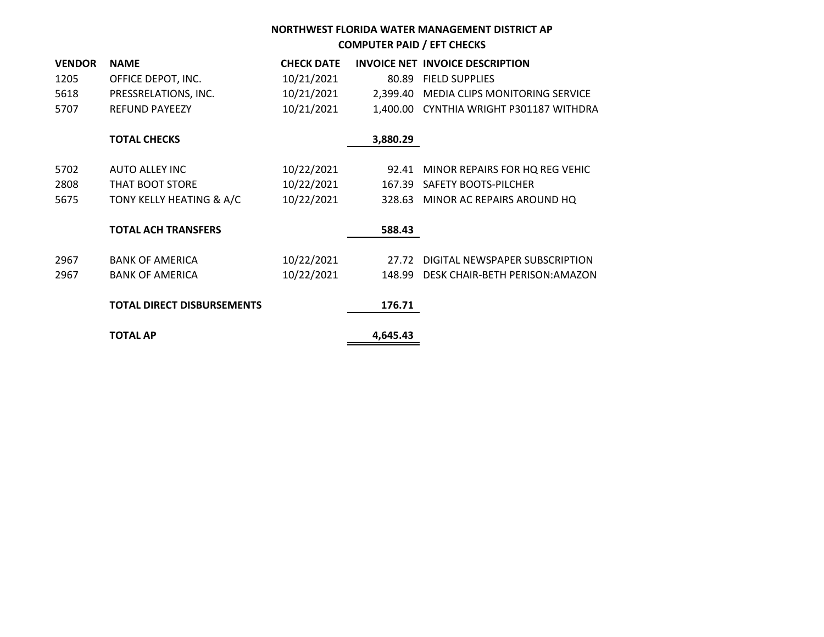| <b>VENDOR</b> | <b>NAME</b>                       | <b>CHECK DATE</b> |          | INVOICE NET INVOICE DESCRIPTION         |
|---------------|-----------------------------------|-------------------|----------|-----------------------------------------|
| 1205          | OFFICE DEPOT, INC.                | 10/21/2021        |          | 80.89 FIELD SUPPLIES                    |
| 5618          | PRESSRELATIONS, INC.              | 10/21/2021        |          | 2,399.40 MEDIA CLIPS MONITORING SERVICE |
| 5707          | <b>REFUND PAYEEZY</b>             | 10/21/2021        |          | 1,400.00 CYNTHIA WRIGHT P301187 WITHDRA |
|               |                                   |                   |          |                                         |
|               | <b>TOTAL CHECKS</b>               |                   | 3,880.29 |                                         |
|               | <b>AUTO ALLEY INC</b>             |                   |          |                                         |
| 5702          |                                   | 10/22/2021        | 92.41    | MINOR REPAIRS FOR HQ REG VEHIC          |
| 2808          | THAT BOOT STORE                   | 10/22/2021        |          | 167.39 SAFETY BOOTS-PILCHER             |
| 5675          | TONY KELLY HEATING & A/C          | 10/22/2021        |          | 328.63 MINOR AC REPAIRS AROUND HQ       |
|               | <b>TOTAL ACH TRANSFERS</b>        |                   | 588.43   |                                         |
|               |                                   |                   |          |                                         |
| 2967          | <b>BANK OF AMERICA</b>            | 10/22/2021        | 27.72    | DIGITAL NEWSPAPER SUBSCRIPTION          |
| 2967          | <b>BANK OF AMERICA</b>            | 10/22/2021        |          | 148.99 DESK CHAIR-BETH PERISON: AMAZON  |
|               |                                   |                   |          |                                         |
|               | <b>TOTAL DIRECT DISBURSEMENTS</b> |                   | 176.71   |                                         |
|               | <b>TOTAL AP</b>                   |                   | 4,645.43 |                                         |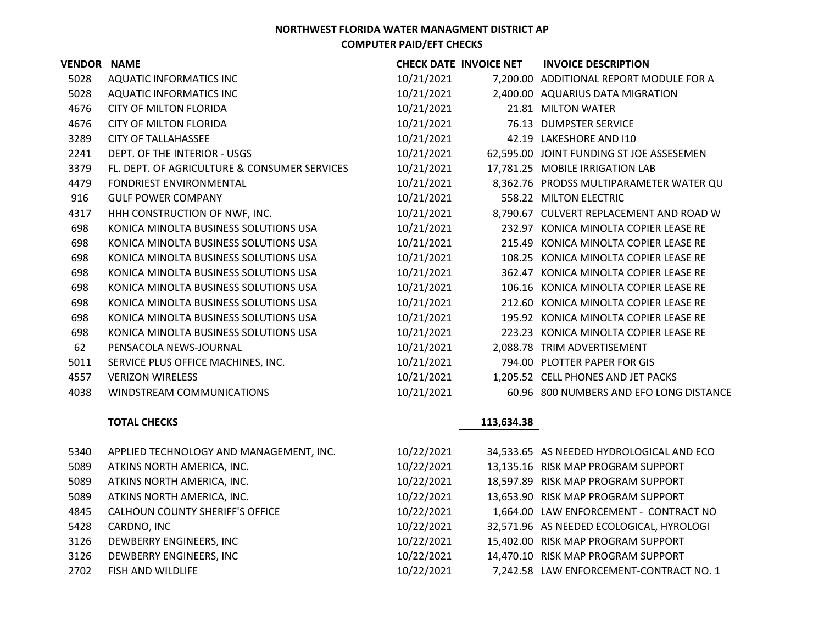| <b>VENDOR NAME</b> |                                                                      |            | <b>CHECK DATE INVOICE NET</b> | <b>INVOICE DESCRIPTION</b>               |
|--------------------|----------------------------------------------------------------------|------------|-------------------------------|------------------------------------------|
| 5028               | <b>AQUATIC INFORMATICS INC</b>                                       | 10/21/2021 |                               | 7,200.00 ADDITIONAL REPORT MODULE FOR A  |
| 5028               | <b>AQUATIC INFORMATICS INC</b>                                       | 10/21/2021 |                               | 2,400.00 AQUARIUS DATA MIGRATION         |
| 4676               | <b>CITY OF MILTON FLORIDA</b>                                        | 10/21/2021 |                               | 21.81 MILTON WATER                       |
| 4676               | <b>CITY OF MILTON FLORIDA</b>                                        | 10/21/2021 |                               | 76.13 DUMPSTER SERVICE                   |
| 3289               | <b>CITY OF TALLAHASSEE</b>                                           | 10/21/2021 |                               | 42.19 LAKESHORE AND I10                  |
| 2241               | DEPT. OF THE INTERIOR - USGS                                         | 10/21/2021 |                               | 62,595.00 JOINT FUNDING ST JOE ASSESEMEN |
| 3379               | FL. DEPT. OF AGRICULTURE & CONSUMER SERVICES                         | 10/21/2021 |                               | 17,781.25 MOBILE IRRIGATION LAB          |
| 4479               | FONDRIEST ENVIRONMENTAL                                              | 10/21/2021 |                               | 8,362.76 PRODSS MULTIPARAMETER WATER QU  |
| 916                | <b>GULF POWER COMPANY</b>                                            | 10/21/2021 |                               | 558.22 MILTON ELECTRIC                   |
| 4317               | HHH CONSTRUCTION OF NWF, INC.                                        | 10/21/2021 |                               | 8,790.67 CULVERT REPLACEMENT AND ROAD W  |
| 698                | KONICA MINOLTA BUSINESS SOLUTIONS USA                                | 10/21/2021 |                               | 232.97 KONICA MINOLTA COPIER LEASE RE    |
| 698                | KONICA MINOLTA BUSINESS SOLUTIONS USA                                | 10/21/2021 |                               | 215.49 KONICA MINOLTA COPIER LEASE RE    |
| 698                | KONICA MINOLTA BUSINESS SOLUTIONS USA                                | 10/21/2021 |                               | 108.25 KONICA MINOLTA COPIER LEASE RE    |
| 698                | KONICA MINOLTA BUSINESS SOLUTIONS USA                                | 10/21/2021 |                               | 362.47 KONICA MINOLTA COPIER LEASE RE    |
| 698                | KONICA MINOLTA BUSINESS SOLUTIONS USA                                | 10/21/2021 |                               | 106.16 KONICA MINOLTA COPIER LEASE RE    |
| 698                | KONICA MINOLTA BUSINESS SOLUTIONS USA                                | 10/21/2021 |                               | 212.60 KONICA MINOLTA COPIER LEASE RE    |
| 698                | KONICA MINOLTA BUSINESS SOLUTIONS USA                                | 10/21/2021 |                               | 195.92 KONICA MINOLTA COPIER LEASE RE    |
| 698                | KONICA MINOLTA BUSINESS SOLUTIONS USA                                | 10/21/2021 |                               | 223.23 KONICA MINOLTA COPIER LEASE RE    |
| 62                 | PENSACOLA NEWS-JOURNAL                                               | 10/21/2021 |                               | 2,088.78 TRIM ADVERTISEMENT              |
| 5011               | SERVICE PLUS OFFICE MACHINES, INC.                                   | 10/21/2021 |                               | 794.00 PLOTTER PAPER FOR GIS             |
| 4557               | <b>VERIZON WIRELESS</b>                                              | 10/21/2021 |                               | 1,205.52 CELL PHONES AND JET PACKS       |
| 4038               | WINDSTREAM COMMUNICATIONS                                            | 10/21/2021 |                               | 60.96 800 NUMBERS AND EFO LONG DISTANCE  |
|                    | <b>TOTAL CHECKS</b>                                                  |            | 113,634.38                    |                                          |
| 5340               | APPLIED TECHNOLOGY AND MANAGEMENT, INC.                              | 10/22/2021 |                               | 34,533.65 AS NEEDED HYDROLOGICAL AND ECO |
| 5089               | ATKINS NORTH AMERICA, INC.                                           | 10/22/2021 |                               | 13,135.16 RISK MAP PROGRAM SUPPORT       |
| 5089               |                                                                      |            |                               | 18,597.89 RISK MAP PROGRAM SUPPORT       |
|                    | ATKINS NORTH AMERICA, INC.                                           | 10/22/2021 |                               |                                          |
| 5089<br>4845       | ATKINS NORTH AMERICA, INC.<br><b>CALHOUN COUNTY SHERIFF'S OFFICE</b> | 10/22/2021 |                               | 13,653.90 RISK MAP PROGRAM SUPPORT       |
|                    |                                                                      | 10/22/2021 |                               | 1,664.00 LAW ENFORCEMENT - CONTRACT NO   |
| 5428               | CARDNO, INC                                                          | 10/22/2021 |                               | 32,571.96 AS NEEDED ECOLOGICAL, HYROLOGI |

| 5340 | APPLIED TECHNOLOGY AND MANAGEMENT, INC. | 10/22/2021 | 34,533.65 AS NEEDED HYDROLOGICAL AND ECO |
|------|-----------------------------------------|------------|------------------------------------------|
| 5089 | ATKINS NORTH AMERICA, INC.              | 10/22/2021 | 13,135.16 RISK MAP PROGRAM SUPPORT       |
| 5089 | ATKINS NORTH AMERICA, INC.              | 10/22/2021 | 18,597.89 RISK MAP PROGRAM SUPPORT       |
| 5089 | ATKINS NORTH AMERICA, INC.              | 10/22/2021 | 13,653.90 RISK MAP PROGRAM SUPPORT       |
| 4845 | <b>CALHOUN COUNTY SHERIFF'S OFFICE</b>  | 10/22/2021 | 1,664.00 LAW ENFORCEMENT - CONTRACT NO   |
| 5428 | CARDNO, INC                             | 10/22/2021 | 32,571.96 AS NEEDED ECOLOGICAL, HYROLOGI |
| 3126 | DEWBERRY ENGINEERS, INC                 | 10/22/2021 | 15,402.00 RISK MAP PROGRAM SUPPORT       |
| 3126 | DEWBERRY ENGINEERS, INC                 | 10/22/2021 | 14,470.10 RISK MAP PROGRAM SUPPORT       |
| 2702 | <b>FISH AND WILDLIFE</b>                | 10/22/2021 | 7,242.58 LAW ENFORCEMENT-CONTRACT NO. 1  |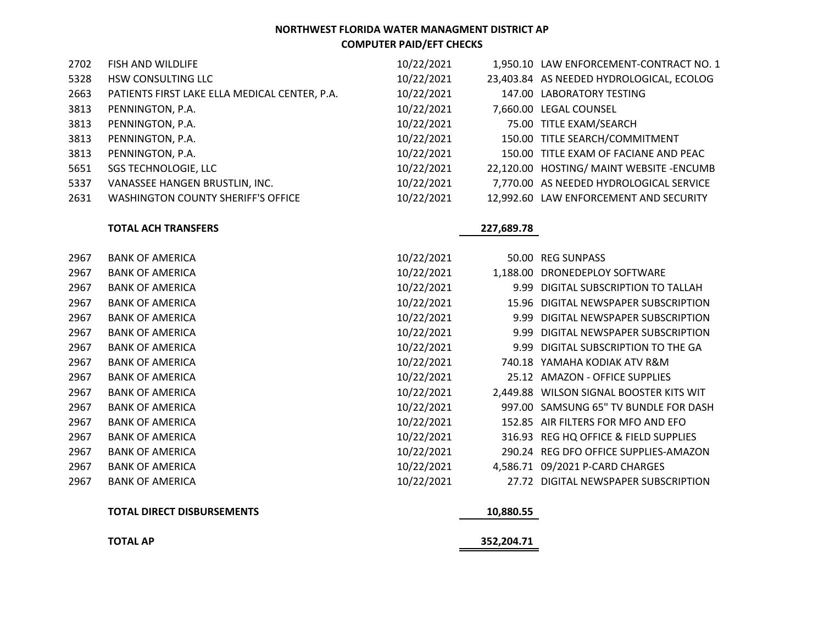| 2702 | FISH AND WILDLIFE                             | 10/22/2021 | 1,950.10 LAW ENFORCEMENT-CONTRACT NO. 1   |
|------|-----------------------------------------------|------------|-------------------------------------------|
| 5328 | HSW CONSULTING LLC                            | 10/22/2021 | 23,403.84 AS NEEDED HYDROLOGICAL, ECOLOG  |
| 2663 | PATIENTS FIRST LAKE ELLA MEDICAL CENTER, P.A. | 10/22/2021 | 147.00 LABORATORY TESTING                 |
| 3813 | PENNINGTON, P.A.                              | 10/22/2021 | 7,660.00 LEGAL COUNSEL                    |
| 3813 | PENNINGTON, P.A.                              | 10/22/2021 | 75.00 TITLE EXAM/SEARCH                   |
| 3813 | PENNINGTON, P.A.                              | 10/22/2021 | 150.00 TITLE SEARCH/COMMITMENT            |
| 3813 | PENNINGTON, P.A.                              | 10/22/2021 | 150.00 TITLE EXAM OF FACIANE AND PEAC     |
| 5651 | SGS TECHNOLOGIE, LLC                          | 10/22/2021 | 22,120.00 HOSTING/ MAINT WEBSITE - ENCUMB |
| 5337 | VANASSEE HANGEN BRUSTLIN, INC.                | 10/22/2021 | 7,770.00 AS NEEDED HYDROLOGICAL SERVICE   |
| 2631 | <b>WASHINGTON COUNTY SHERIFF'S OFFICE</b>     | 10/22/2021 | 12,992.60 LAW ENFORCEMENT AND SECURITY    |

#### **TOTAL ACH TRANSFERS 227,689.78**

|      | <b>TOTAL DIRECT DISBURSEMENTS</b> | 10,880.55              |                                         |
|------|-----------------------------------|------------------------|-----------------------------------------|
| 2967 | <b>BANK OF AMERICA</b>            | 10/22/2021             | 27.72 DIGITAL NEWSPAPER SUBSCRIPTION    |
| 2967 | <b>BANK OF AMERICA</b>            | 10/22/2021             | 4,586.71 09/2021 P-CARD CHARGES         |
| 2967 | <b>BANK OF AMERICA</b>            | 10/22/2021             | 290.24 REG DFO OFFICE SUPPLIES-AMAZON   |
| 2967 | <b>BANK OF AMERICA</b>            | 10/22/2021<br>316.93   | REG HQ OFFICE & FIELD SUPPLIES          |
| 2967 | <b>BANK OF AMERICA</b>            | 10/22/2021             | 152.85 AIR FILTERS FOR MFO AND EFO      |
| 2967 | <b>BANK OF AMERICA</b>            | 10/22/2021             | 997.00 SAMSUNG 65" TV BUNDLE FOR DASH   |
| 2967 | <b>BANK OF AMERICA</b>            | 10/22/2021             | 2,449.88 WILSON SIGNAL BOOSTER KITS WIT |
| 2967 | <b>BANK OF AMERICA</b>            | 10/22/2021             | 25.12 AMAZON - OFFICE SUPPLIES          |
| 2967 | <b>BANK OF AMERICA</b>            | 10/22/2021             | 740.18 YAMAHA KODIAK ATV R&M            |
| 2967 | <b>BANK OF AMERICA</b>            | 10/22/2021             | 9.99 DIGITAL SUBSCRIPTION TO THE GA     |
| 2967 | <b>BANK OF AMERICA</b>            | 10/22/2021<br>9.99     | DIGITAL NEWSPAPER SUBSCRIPTION          |
| 2967 | <b>BANK OF AMERICA</b>            | 10/22/2021<br>9.99     | DIGITAL NEWSPAPER SUBSCRIPTION          |
| 2967 | <b>BANK OF AMERICA</b>            | 10/22/2021<br>15.96    | DIGITAL NEWSPAPER SUBSCRIPTION          |
| 2967 | <b>BANK OF AMERICA</b>            | 10/22/2021<br>9.99     | DIGITAL SUBSCRIPTION TO TALLAH          |
| 2967 | <b>BANK OF AMERICA</b>            | 10/22/2021<br>1,188.00 | DRONEDEPLOY SOFTWARE                    |
| 2967 | <b>BANK OF AMERICA</b>            | 10/22/2021             | 50.00 REG SUNPASS                       |

| <b>TOTAL AP</b> |  | 352,204.71 |
|-----------------|--|------------|
|                 |  |            |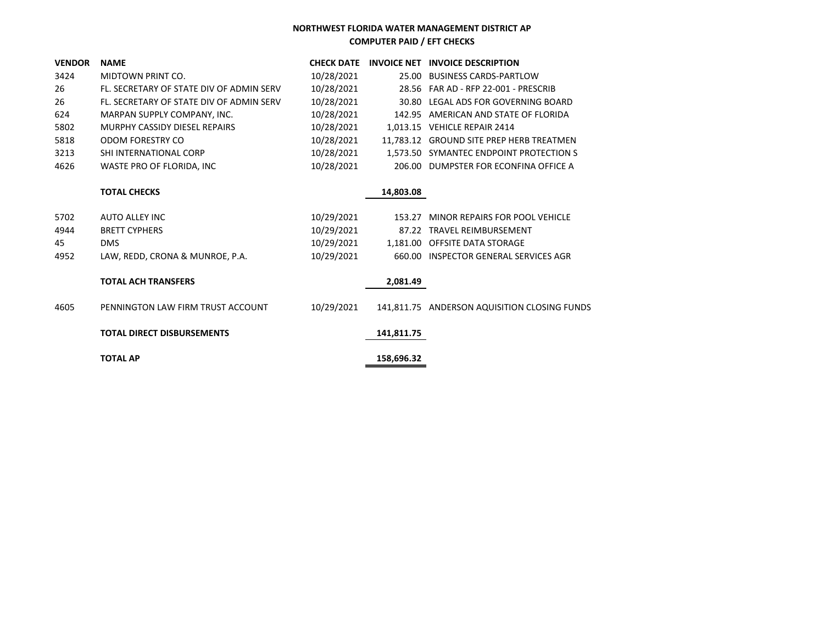| <b>VENDOR</b> | <b>NAME</b>                              | <b>CHECK DATE</b> |            | INVOICE NET INVOICE DESCRIPTION              |
|---------------|------------------------------------------|-------------------|------------|----------------------------------------------|
| 3424          | MIDTOWN PRINT CO.                        | 10/28/2021        |            | 25.00 BUSINESS CARDS-PARTLOW                 |
| 26            | FL. SECRETARY OF STATE DIV OF ADMIN SERV | 10/28/2021        |            | 28.56 FAR AD - RFP 22-001 - PRESCRIB         |
| 26            | FL. SECRETARY OF STATE DIV OF ADMIN SERV | 10/28/2021        |            | 30.80 LEGAL ADS FOR GOVERNING BOARD          |
| 624           | MARPAN SUPPLY COMPANY, INC.              | 10/28/2021        |            | 142.95 AMERICAN AND STATE OF FLORIDA         |
| 5802          | MURPHY CASSIDY DIESEL REPAIRS            | 10/28/2021        |            | 1,013.15 VEHICLE REPAIR 2414                 |
| 5818          | ODOM FORESTRY CO                         | 10/28/2021        |            | 11,783.12 GROUND SITE PREP HERB TREATMEN     |
| 3213          | SHI INTERNATIONAL CORP                   | 10/28/2021        |            | 1,573.50 SYMANTEC ENDPOINT PROTECTION S      |
| 4626          | WASTE PRO OF FLORIDA, INC                | 10/28/2021        |            | 206.00 DUMPSTER FOR ECONFINA OFFICE A        |
|               | <b>TOTAL CHECKS</b>                      |                   | 14,803.08  |                                              |
| 5702          | <b>AUTO ALLEY INC</b>                    | 10/29/2021        | 153.27     | MINOR REPAIRS FOR POOL VEHICLE               |
| 4944          | <b>BRETT CYPHERS</b>                     | 10/29/2021        |            | 87.22 TRAVEL REIMBURSEMENT                   |
| 45            | <b>DMS</b>                               | 10/29/2021        |            | 1,181.00 OFFSITE DATA STORAGE                |
| 4952          | LAW, REDD, CRONA & MUNROE, P.A.          | 10/29/2021        |            | 660.00 INSPECTOR GENERAL SERVICES AGR        |
|               | <b>TOTAL ACH TRANSFERS</b>               |                   | 2,081.49   |                                              |
| 4605          | PENNINGTON LAW FIRM TRUST ACCOUNT        | 10/29/2021        |            | 141,811.75 ANDERSON AQUISITION CLOSING FUNDS |
|               | <b>TOTAL DIRECT DISBURSEMENTS</b>        |                   | 141,811.75 |                                              |
|               | <b>TOTAL AP</b>                          |                   | 158,696.32 |                                              |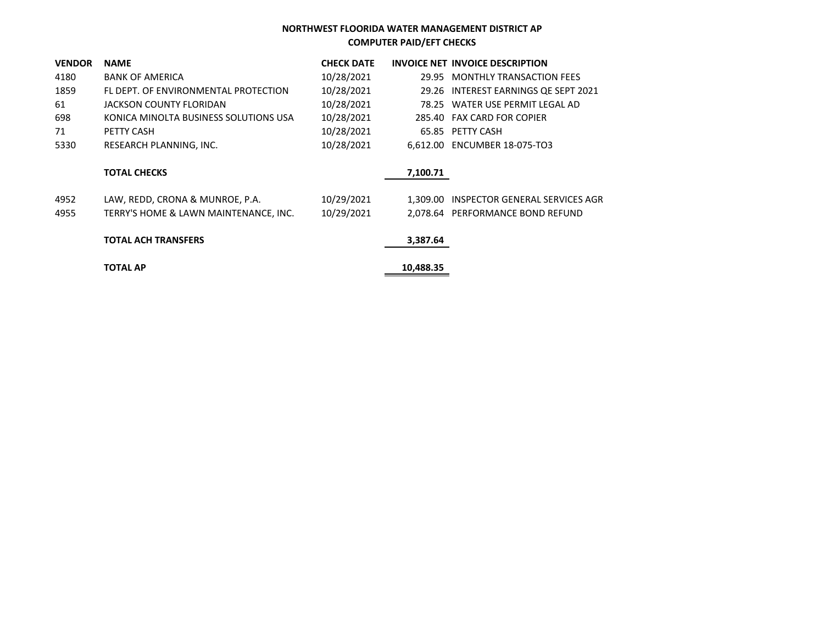| <b>VENDOR</b> | <b>NAME</b>                           | <b>CHECK DATE</b> |           | INVOICE NET INVOICE DESCRIPTION         |
|---------------|---------------------------------------|-------------------|-----------|-----------------------------------------|
| 4180          | <b>BANK OF AMERICA</b>                | 10/28/2021        |           | 29.95 MONTHLY TRANSACTION FEES          |
| 1859          | FL DEPT. OF ENVIRONMENTAL PROTECTION  | 10/28/2021        |           | 29.26 INTEREST EARNINGS QE SEPT 2021    |
| 61            | JACKSON COUNTY FLORIDAN               | 10/28/2021        |           | 78.25 WATER USE PERMIT LEGAL AD         |
| 698           | KONICA MINOLTA BUSINESS SOLUTIONS USA | 10/28/2021        |           | 285.40 FAX CARD FOR COPIER              |
| 71            | PETTY CASH                            | 10/28/2021        |           | 65.85 PETTY CASH                        |
| 5330          | RESEARCH PLANNING, INC.               | 10/28/2021        |           | 6,612.00 ENCUMBER 18-075-TO3            |
|               | <b>TOTAL CHECKS</b>                   |                   | 7,100.71  |                                         |
| 4952          | LAW, REDD, CRONA & MUNROE, P.A.       | 10/29/2021        |           | 1,309.00 INSPECTOR GENERAL SERVICES AGR |
| 4955          | TERRY'S HOME & LAWN MAINTENANCE, INC. | 10/29/2021        |           | 2,078.64 PERFORMANCE BOND REFUND        |
|               | <b>TOTAL ACH TRANSFERS</b>            |                   | 3,387.64  |                                         |
|               | <b>TOTAL AP</b>                       |                   | 10,488.35 |                                         |